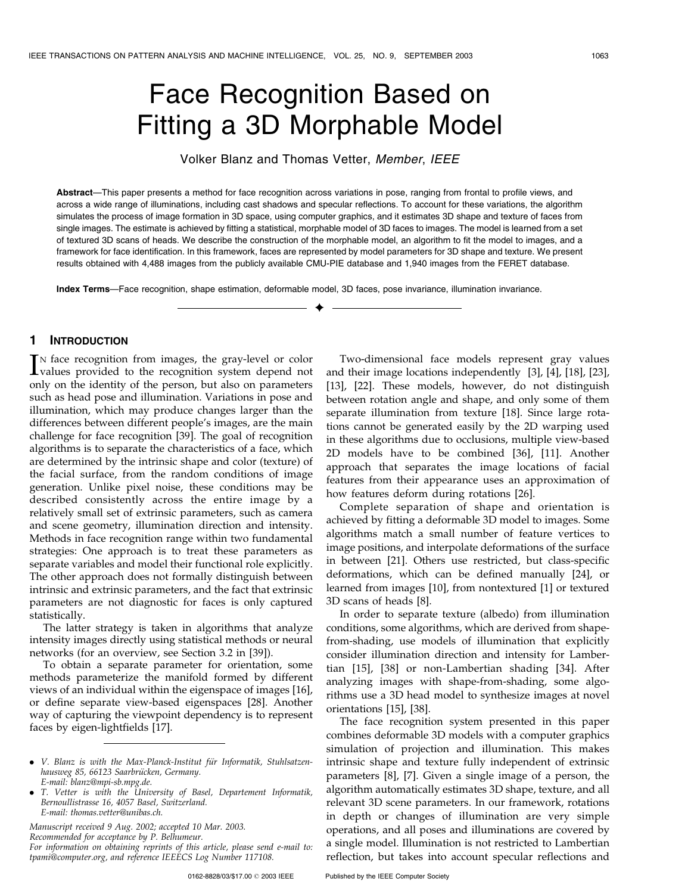# Face Recognition Based on Fitting a 3D Morphable Model

Volker Blanz and Thomas Vetter, Member, IEEE

Abstract—This paper presents a method for face recognition across variations in pose, ranging from frontal to profile views, and across a wide range of illuminations, including cast shadows and specular reflections. To account for these variations, the algorithm simulates the process of image formation in 3D space, using computer graphics, and it estimates 3D shape and texture of faces from single images. The estimate is achieved by fitting a statistical, morphable model of 3D faces to images. The model is learned from a set of textured 3D scans of heads. We describe the construction of the morphable model, an algorithm to fit the model to images, and a framework for face identification. In this framework, faces are represented by model parameters for 3D shape and texture. We present results obtained with 4,488 images from the publicly available CMU-PIE database and 1,940 images from the FERET database.

 $\ddotmark$ 

Index Terms—Face recognition, shape estimation, deformable model, 3D faces, pose invariance, illumination invariance.

# 1 INTRODUCTION

IN face recognition from images, the gray-level or color<br>values provided to the recognition system depend not<br>value of the recognition ship levels are proportion N face recognition from images, the gray-level or color only on the identity of the person, but also on parameters such as head pose and illumination. Variations in pose and illumination, which may produce changes larger than the differences between different people's images, are the main challenge for face recognition [39]. The goal of recognition algorithms is to separate the characteristics of a face, which are determined by the intrinsic shape and color (texture) of the facial surface, from the random conditions of image generation. Unlike pixel noise, these conditions may be described consistently across the entire image by a relatively small set of extrinsic parameters, such as camera and scene geometry, illumination direction and intensity. Methods in face recognition range within two fundamental strategies: One approach is to treat these parameters as separate variables and model their functional role explicitly. The other approach does not formally distinguish between intrinsic and extrinsic parameters, and the fact that extrinsic parameters are not diagnostic for faces is only captured statistically.

The latter strategy is taken in algorithms that analyze intensity images directly using statistical methods or neural networks (for an overview, see Section 3.2 in [39]).

To obtain a separate parameter for orientation, some methods parameterize the manifold formed by different views of an individual within the eigenspace of images [16], or define separate view-based eigenspaces [28]. Another way of capturing the viewpoint dependency is to represent faces by eigen-lightfields [17].

Manuscript received 9 Aug. 2002; accepted 10 Mar. 2003.

Recommended for acceptance by P. Belhumeur.

For information on obtaining reprints of this article, please send e-mail to: tpami@computer.org, and reference IEEECS Log Number 117108.

Two-dimensional face models represent gray values and their image locations independently [3], [4], [18], [23], [13], [22]. These models, however, do not distinguish between rotation angle and shape, and only some of them separate illumination from texture [18]. Since large rotations cannot be generated easily by the 2D warping used in these algorithms due to occlusions, multiple view-based 2D models have to be combined [36], [11]. Another approach that separates the image locations of facial features from their appearance uses an approximation of how features deform during rotations [26].

Complete separation of shape and orientation is achieved by fitting a deformable 3D model to images. Some algorithms match a small number of feature vertices to image positions, and interpolate deformations of the surface in between [21]. Others use restricted, but class-specific deformations, which can be defined manually [24], or learned from images [10], from nontextured [1] or textured 3D scans of heads [8].

In order to separate texture (albedo) from illumination conditions, some algorithms, which are derived from shapefrom-shading, use models of illumination that explicitly consider illumination direction and intensity for Lambertian [15], [38] or non-Lambertian shading [34]. After analyzing images with shape-from-shading, some algorithms use a 3D head model to synthesize images at novel orientations [15], [38].

The face recognition system presented in this paper combines deformable 3D models with a computer graphics simulation of projection and illumination. This makes intrinsic shape and texture fully independent of extrinsic parameters [8], [7]. Given a single image of a person, the algorithm automatically estimates 3D shape, texture, and all relevant 3D scene parameters. In our framework, rotations in depth or changes of illumination are very simple operations, and all poses and illuminations are covered by a single model. Illumination is not restricted to Lambertian reflection, but takes into account specular reflections and

<sup>•</sup> V. Blanz is with the Max-Planck-Institut für Informatik, Stuhlsatzenhausweg 85, 66123 Saarbrücken, Germany. E-mail: blanz@mpi-sb.mpg.de.

<sup>.</sup> T. Vetter is with the University of Basel, Departement Informatik, Bernoullistrasse 16, 4057 Basel, Switzerland. E-mail: thomas.vetter@unibas.ch.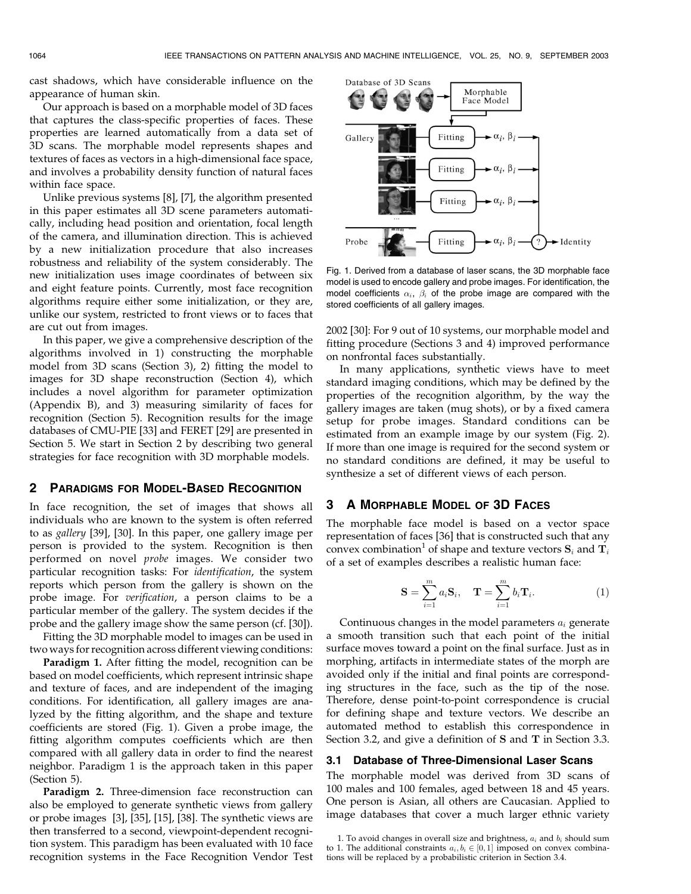cast shadows, which have considerable influence on the appearance of human skin.

Our approach is based on a morphable model of 3D faces that captures the class-specific properties of faces. These properties are learned automatically from a data set of 3D scans. The morphable model represents shapes and textures of faces as vectors in a high-dimensional face space, and involves a probability density function of natural faces within face space.

Unlike previous systems [8], [7], the algorithm presented in this paper estimates all 3D scene parameters automatically, including head position and orientation, focal length of the camera, and illumination direction. This is achieved by a new initialization procedure that also increases robustness and reliability of the system considerably. The new initialization uses image coordinates of between six and eight feature points. Currently, most face recognition algorithms require either some initialization, or they are, unlike our system, restricted to front views or to faces that are cut out from images.

In this paper, we give a comprehensive description of the algorithms involved in 1) constructing the morphable model from 3D scans (Section 3), 2) fitting the model to images for 3D shape reconstruction (Section 4), which includes a novel algorithm for parameter optimization (Appendix B), and 3) measuring similarity of faces for recognition (Section 5). Recognition results for the image databases of CMU-PIE [33] and FERET [29] are presented in Section 5. We start in Section 2 by describing two general strategies for face recognition with 3D morphable models.

#### 2 PARADIGMS FOR MODEL-BASED RECOGNITION

In face recognition, the set of images that shows all individuals who are known to the system is often referred to as gallery [39], [30]. In this paper, one gallery image per person is provided to the system. Recognition is then performed on novel probe images. We consider two particular recognition tasks: For identification, the system reports which person from the gallery is shown on the probe image. For verification, a person claims to be a particular member of the gallery. The system decides if the probe and the gallery image show the same person (cf. [30]).

Fitting the 3D morphable model to images can be used in two ways for recognition across different viewing conditions:

Paradigm 1. After fitting the model, recognition can be based on model coefficients, which represent intrinsic shape and texture of faces, and are independent of the imaging conditions. For identification, all gallery images are analyzed by the fitting algorithm, and the shape and texture coefficients are stored (Fig. 1). Given a probe image, the fitting algorithm computes coefficients which are then compared with all gallery data in order to find the nearest neighbor. Paradigm 1 is the approach taken in this paper (Section 5).

**Paradigm 2.** Three-dimension face reconstruction can also be employed to generate synthetic views from gallery or probe images [3], [35], [15], [38]. The synthetic views are then transferred to a second, viewpoint-dependent recognition system. This paradigm has been evaluated with 10 face recognition systems in the Face Recognition Vendor Test



Fig. 1. Derived from a database of laser scans, the 3D morphable face model is used to encode gallery and probe images. For identification, the model coefficients  $\alpha_i, \ \beta_i$  of the probe image are compared with the stored coefficients of all gallery images.

2002 [30]: For 9 out of 10 systems, our morphable model and fitting procedure (Sections 3 and 4) improved performance on nonfrontal faces substantially.

In many applications, synthetic views have to meet standard imaging conditions, which may be defined by the properties of the recognition algorithm, by the way the gallery images are taken (mug shots), or by a fixed camera setup for probe images. Standard conditions can be estimated from an example image by our system (Fig. 2). If more than one image is required for the second system or no standard conditions are defined, it may be useful to synthesize a set of different views of each person.

# 3 AMORPHABLE MODEL OF 3D FACES

The morphable face model is based on a vector space representation of faces [36] that is constructed such that any convex combination<sup>1</sup> of shape and texture vectors  $\mathbf{S}_i$  and  $\mathbf{T}_i$ of a set of examples describes a realistic human face:

$$
\mathbf{S} = \sum_{i=1}^{m} a_i \mathbf{S}_i, \quad \mathbf{T} = \sum_{i=1}^{m} b_i \mathbf{T}_i.
$$
 (1)

Continuous changes in the model parameters  $a_i$  generate a smooth transition such that each point of the initial surface moves toward a point on the final surface. Just as in morphing, artifacts in intermediate states of the morph are avoided only if the initial and final points are corresponding structures in the face, such as the tip of the nose. Therefore, dense point-to-point correspondence is crucial for defining shape and texture vectors. We describe an automated method to establish this correspondence in Section 3.2, and give a definition of S and T in Section 3.3.

# 3.1 Database of Three-Dimensional Laser Scans

The morphable model was derived from 3D scans of 100 males and 100 females, aged between 18 and 45 years. One person is Asian, all others are Caucasian. Applied to image databases that cover a much larger ethnic variety

<sup>1.</sup> To avoid changes in overall size and brightness,  $\boldsymbol{a}_i$  and  $\boldsymbol{b}_i$  should sum to 1. The additional constraints  $a_i, b_i \in [0, 1]$  imposed on convex combinations will be replaced by a probabilistic criterion in Section 3.4.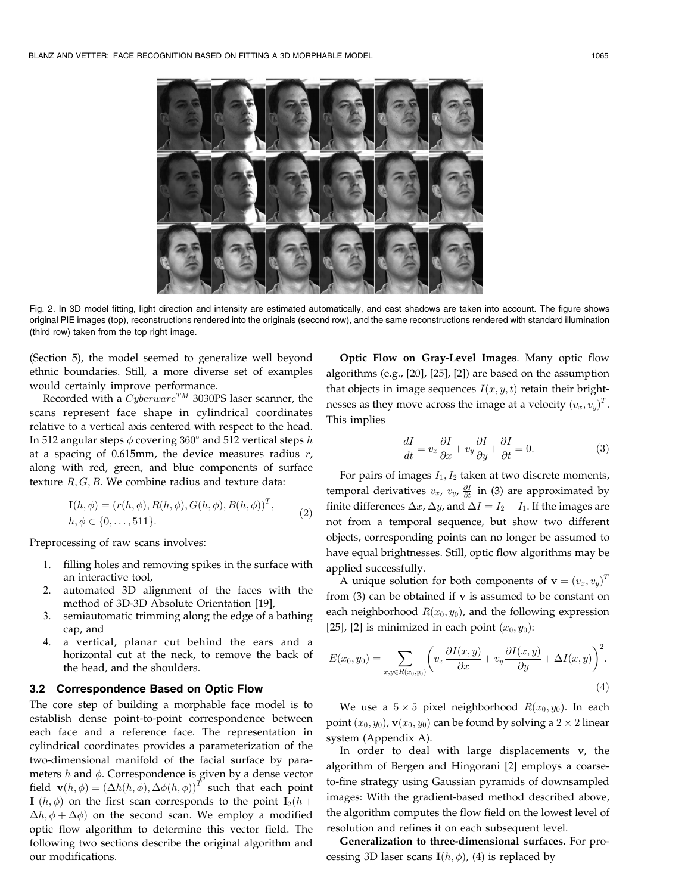

Fig. 2. In 3D model fitting, light direction and intensity are estimated automatically, and cast shadows are taken into account. The figure shows original PIE images (top), reconstructions rendered into the originals (second row), and the same reconstructions rendered with standard illumination (third row) taken from the top right image.

(Section 5), the model seemed to generalize well beyond ethnic boundaries. Still, a more diverse set of examples would certainly improve performance.

Recorded with a  $Cyberware^{TM}$  3030PS laser scanner, the scans represent face shape in cylindrical coordinates relative to a vertical axis centered with respect to the head. In 512 angular steps  $\phi$  covering  $360^\circ$  and 512 vertical steps  $h$ at a spacing of 0.615mm, the device measures radius  $r$ , along with red, green, and blue components of surface texture  $R, G, B$ . We combine radius and texture data:

$$
\mathbf{I}(h, \phi) = (r(h, \phi), R(h, \phi), G(h, \phi), B(h, \phi))^T, h, \phi \in \{0, ..., 511\}.
$$
 (2)

Preprocessing of raw scans involves:

- 1. filling holes and removing spikes in the surface with an interactive tool,
- 2. automated 3D alignment of the faces with the method of 3D-3D Absolute Orientation [19],
- 3. semiautomatic trimming along the edge of a bathing cap, and
- 4. a vertical, planar cut behind the ears and a horizontal cut at the neck, to remove the back of the head, and the shoulders.

## 3.2 Correspondence Based on Optic Flow

The core step of building a morphable face model is to establish dense point-to-point correspondence between each face and a reference face. The representation in cylindrical coordinates provides a parameterization of the two-dimensional manifold of the facial surface by parameters  $h$  and  $\phi$ . Correspondence is given by a dense vector field  $\mathbf{v}(h, \phi) = (\Delta h(h, \phi), \Delta \phi(h, \phi))^T$  such that each point  $I_1(h, \phi)$  on the first scan corresponds to the point  $I_2(h +$  $\Delta h$ ,  $\phi + \Delta \phi$ ) on the second scan. We employ a modified optic flow algorithm to determine this vector field. The following two sections describe the original algorithm and our modifications.

Optic Flow on Gray-Level Images. Many optic flow algorithms (e.g., [20], [25], [2]) are based on the assumption that objects in image sequences  $I(x, y, t)$  retain their brightnesses as they move across the image at a velocity  $(v_x,v_y)^T$ . This implies

$$
\frac{dI}{dt} = v_x \frac{\partial I}{\partial x} + v_y \frac{\partial I}{\partial y} + \frac{\partial I}{\partial t} = 0.
$$
 (3)

For pairs of images  $I_1, I_2$  taken at two discrete moments, temporal derivatives  $v_x$ ,  $v_y$ ,  $\frac{\partial I}{\partial t}$  in (3) are approximated by finite differences  $\Delta x$ ,  $\Delta y$ , and  $\Delta I = I_2 - I_1$ . If the images are not from a temporal sequence, but show two different objects, corresponding points can no longer be assumed to have equal brightnesses. Still, optic flow algorithms may be applied successfully.

A unique solution for both components of  $\mathbf{v} = (v_x, v_y)^T$ from (3) can be obtained if v is assumed to be constant on each neighborhood  $R(x_0, y_0)$ , and the following expression [25], [2] is minimized in each point  $(x_0, y_0)$ :

$$
E(x_0, y_0) = \sum_{x,y \in R(x_0, y_0)} \left( v_x \frac{\partial I(x, y)}{\partial x} + v_y \frac{\partial I(x, y)}{\partial y} + \Delta I(x, y) \right)^2.
$$
\n(4)

We use a  $5 \times 5$  pixel neighborhood  $R(x_0, y_0)$ . In each point  $(x_0, y_0)$ ,  $\mathbf{v}(x_0, y_0)$  can be found by solving a  $2 \times 2$  linear system (Appendix A).

In order to deal with large displacements v, the algorithm of Bergen and Hingorani [2] employs a coarseto-fine strategy using Gaussian pyramids of downsampled images: With the gradient-based method described above, the algorithm computes the flow field on the lowest level of resolution and refines it on each subsequent level.

Generalization to three-dimensional surfaces. For processing 3D laser scans  $I(h, \phi)$ , (4) is replaced by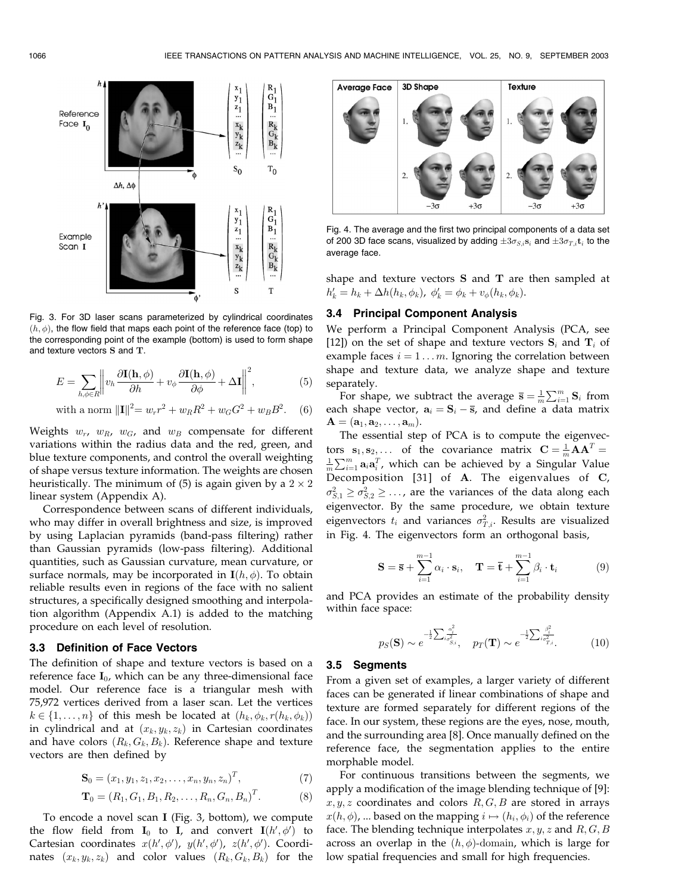

Fig. 3. For 3D laser scans parameterized by cylindrical coordinates  $(h, \phi)$ , the flow field that maps each point of the reference face (top) to the corresponding point of the example (bottom) is used to form shape and texture vectors S and T.

$$
E = \sum_{h,\phi \in R} \left\| v_h \frac{\partial \mathbf{I}(\mathbf{h}, \phi)}{\partial h} + v_\phi \frac{\partial \mathbf{I}(\mathbf{h}, \phi)}{\partial \phi} + \Delta \mathbf{I} \right\|^2, \tag{5}
$$

with a norm 
$$
||\mathbf{I}||^2 = w_r r^2 + w_R R^2 + w_G G^2 + w_B B^2
$$
. (6)

Weights  $w_r$ ,  $w_R$ ,  $w_G$ , and  $w_B$  compensate for different variations within the radius data and the red, green, and blue texture components, and control the overall weighting of shape versus texture information. The weights are chosen heuristically. The minimum of (5) is again given by a  $2 \times 2$ linear system (Appendix A).

Correspondence between scans of different individuals, who may differ in overall brightness and size, is improved by using Laplacian pyramids (band-pass filtering) rather than Gaussian pyramids (low-pass filtering). Additional quantities, such as Gaussian curvature, mean curvature, or surface normals, may be incorporated in  $I(h, \phi)$ . To obtain reliable results even in regions of the face with no salient structures, a specifically designed smoothing and interpolation algorithm (Appendix A.1) is added to the matching procedure on each level of resolution.

## 3.3 Definition of Face Vectors

The definition of shape and texture vectors is based on a reference face  $I_0$ , which can be any three-dimensional face model. Our reference face is a triangular mesh with 75,972 vertices derived from a laser scan. Let the vertices  $k \in \{1, \ldots, n\}$  of this mesh be located at  $(h_k, \phi_k, r(h_k, \phi_k))$ in cylindrical and at  $(x_k, y_k, z_k)$  in Cartesian coordinates and have colors  $(R_k, G_k, B_k)$ . Reference shape and texture vectors are then defined by

$$
\mathbf{S}_0 = (x_1, y_1, z_1, x_2, \dots, x_n, y_n, z_n)^T, \tag{7}
$$

$$
\mathbf{T}_0 = (R_1, G_1, B_1, R_2, \dots, R_n, G_n, B_n)^T.
$$
 (8)

To encode a novel scan I (Fig. 3, bottom), we compute the flow field from  $\mathbf{I}_0$  to  $\mathbf{I}_r$  and convert  $\mathbf{I}(h', \phi')$  to Cartesian coordinates  $x(h', \phi')$ ,  $y(h', \phi')$ ,  $z(h', \phi')$ . Coordinates  $(x_k, y_k, z_k)$  and color values  $(R_k, G_k, B_k)$  for the



Fig. 4. The average and the first two principal components of a data set of 200 3D face scans, visualized by adding  $\pm 3\sigma_{S,i}$ s<sub>i</sub> and  $\pm 3\sigma_{T,i}$ t<sub>i</sub> to the average face.

shape and texture vectors S and T are then sampled at  $h'_{k} = h_{k} + \Delta h(h_{k}, \phi_{k}), \ \phi'_{k} = \phi_{k} + v_{\phi}(h_{k}, \phi_{k}).$ 

# 3.4 Principal Component Analysis

We perform a Principal Component Analysis (PCA, see [12]) on the set of shape and texture vectors  $S_i$  and  $T_i$  of example faces  $i = 1...m$ . Ignoring the correlation between shape and texture data, we analyze shape and texture separately.

For shape, we subtract the average  $\overline{s} = \frac{1}{m} \sum_{i=1}^{m} \mathbf{S}_i$  from each shape vector,  $a_i = S_i - \overline{s}$ , and define a data matrix  $\mathbf{A} = (\mathbf{a}_1, \mathbf{a}_2, \dots, \mathbf{a}_m).$ 

The essential step of PCA is to compute the eigenvectors  $\mathbf{s}_1, \mathbf{s}_2, \ldots$  of the covariance matrix  $\mathbf{C} = \frac{1}{m} \mathbf{A} \mathbf{A}^T =$ <br> $\frac{1}{m} \nabla^m$  and  $\mathbf{s}^T$  which can be achieved by a Singular Value  $\frac{1}{m}\sum_{i=1}^{m} \mathbf{a}_i \mathbf{a}_i^T$ , which can be achieved by a Singular Value Decomposition [31] of A. The eigenvalues of C,  $\sigma_{S,1}^2 \geq \sigma_{S,2}^2 \geq \ldots$ , are the variances of the data along each eigenvector. By the same procedure, we obtain texture eigenvectors  $t_i$  and variances  $\sigma^2_{T,i}$ . Results are visualized in Fig. 4. The eigenvectors form an orthogonal basis,

$$
\mathbf{S} = \overline{\mathbf{s}} + \sum_{i=1}^{m-1} \alpha_i \cdot \mathbf{s}_i, \quad \mathbf{T} = \overline{\mathbf{t}} + \sum_{i=1}^{m-1} \beta_i \cdot \mathbf{t}_i \tag{9}
$$

and PCA provides an estimate of the probability density within face space:

$$
p_S(\mathbf{S}) \sim e^{-\frac{1}{2} \sum_{i} \frac{\alpha_i^2}{\sigma_{S,i}^2}}, \quad p_T(\mathbf{T}) \sim e^{-\frac{1}{2} \sum_{i} \frac{\beta_i^2}{\sigma_{T,i}^2}}.
$$
 (10)

#### 3.5 Segments

From a given set of examples, a larger variety of different faces can be generated if linear combinations of shape and texture are formed separately for different regions of the face. In our system, these regions are the eyes, nose, mouth, and the surrounding area [8]. Once manually defined on the reference face, the segmentation applies to the entire morphable model.

For continuous transitions between the segments, we apply a modification of the image blending technique of [9]:  $x, y, z$  coordinates and colors  $R, G, B$  are stored in arrays  $x(h, \phi)$ , ... based on the mapping  $i \mapsto (h_i, \phi_i)$  of the reference face. The blending technique interpolates  $x, y, z$  and  $R, G, B$ across an overlap in the  $(h, \phi)$ -domain, which is large for low spatial frequencies and small for high frequencies.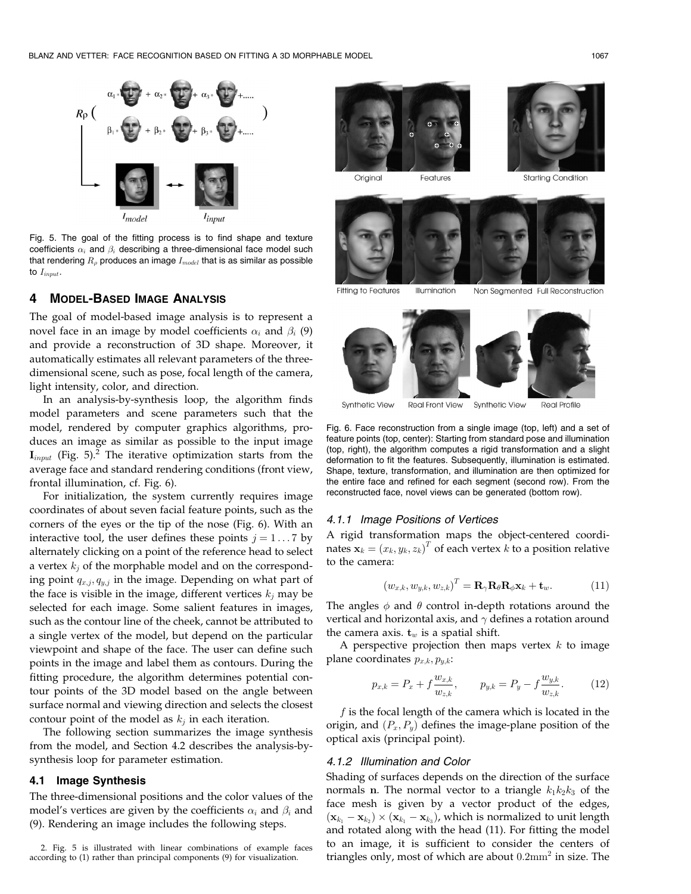

Fig. 5. The goal of the fitting process is to find shape and texture coefficients  $\alpha_i$  and  $\beta_i$  describing a three-dimensional face model such that rendering  $R_{\rho}$  produces an image  $I_{model}$  that is as similar as possible to  $I_{input}$ .

# 4 MODEL-BASED IMAGE ANALYSIS

The goal of model-based image analysis is to represent a novel face in an image by model coefficients  $\alpha_i$  and  $\beta_i$  (9) and provide a reconstruction of 3D shape. Moreover, it automatically estimates all relevant parameters of the threedimensional scene, such as pose, focal length of the camera, light intensity, color, and direction.

In an analysis-by-synthesis loop, the algorithm finds model parameters and scene parameters such that the model, rendered by computer graphics algorithms, produces an image as similar as possible to the input image  $\mathbf{I}_{input}$  (Fig. 5).<sup>2</sup> The iterative optimization starts from the average face and standard rendering conditions (front view, frontal illumination, cf. Fig. 6).

For initialization, the system currently requires image coordinates of about seven facial feature points, such as the corners of the eyes or the tip of the nose (Fig. 6). With an interactive tool, the user defines these points  $j = 1...7$  by alternately clicking on a point of the reference head to select a vertex  $k_i$  of the morphable model and on the corresponding point  $q_{x,j}, q_{y,j}$  in the image. Depending on what part of the face is visible in the image, different vertices  $k_i$  may be selected for each image. Some salient features in images, such as the contour line of the cheek, cannot be attributed to a single vertex of the model, but depend on the particular viewpoint and shape of the face. The user can define such points in the image and label them as contours. During the fitting procedure, the algorithm determines potential contour points of the 3D model based on the angle between surface normal and viewing direction and selects the closest contour point of the model as  $k_j$  in each iteration.

The following section summarizes the image synthesis from the model, and Section 4.2 describes the analysis-bysynthesis loop for parameter estimation.

# 4.1 Image Synthesis

The three-dimensional positions and the color values of the model's vertices are given by the coefficients  $\alpha_i$  and  $\beta_i$  and (9). Rendering an image includes the following steps.



Original Features

**Starting Condition** 



**Fitting to Features** Illumination Non Segmented Full Reconstruction



**Real Front View** Synthetic View **Real Profile** 

Fig. 6. Face reconstruction from a single image (top, left) and a set of feature points (top, center): Starting from standard pose and illumination (top, right), the algorithm computes a rigid transformation and a slight deformation to fit the features. Subsequently, illumination is estimated. Shape, texture, transformation, and illumination are then optimized for the entire face and refined for each segment (second row). From the reconstructed face, novel views can be generated (bottom row).

# 4.1.1 Image Positions of Vertices

A rigid transformation maps the object-centered coordinates  $\mathbf{x}_k = (x_k, y_k, z_k)^T$  of each vertex  $k$  to a position relative to the camera:

$$
(w_{x,k}, w_{y,k}, w_{z,k})^T = \mathbf{R}_{\gamma} \mathbf{R}_{\theta} \mathbf{R}_{\phi} \mathbf{x}_k + \mathbf{t}_w.
$$
 (11)

The angles  $\phi$  and  $\theta$  control in-depth rotations around the vertical and horizontal axis, and  $\gamma$  defines a rotation around the camera axis.  $t_w$  is a spatial shift.

A perspective projection then maps vertex  $k$  to image plane coordinates  $p_{x,k}, p_{u,k}$ :

$$
p_{x,k} = P_x + f \frac{w_{x,k}}{w_{z,k}}, \qquad p_{y,k} = P_y - f \frac{w_{y,k}}{w_{z,k}}.
$$
 (12)

 $f$  is the focal length of the camera which is located in the origin, and  $(P_x, P_y)$  defines the image-plane position of the optical axis (principal point).

## 4.1.2 Illumination and Color

Shading of surfaces depends on the direction of the surface normals n. The normal vector to a triangle  $k_1k_2k_3$  of the face mesh is given by a vector product of the edges,  $(\mathbf{x}_{k_1} - \mathbf{x}_{k_2}) \times (\mathbf{x}_{k_1} - \mathbf{x}_{k_3})$ , which is normalized to unit length and rotated along with the head (11). For fitting the model to an image, it is sufficient to consider the centers of triangles only, most of which are about  $0.2 \text{mm}^2$  in size. The

<sup>2.</sup> Fig. 5 is illustrated with linear combinations of example faces according to (1) rather than principal components (9) for visualization.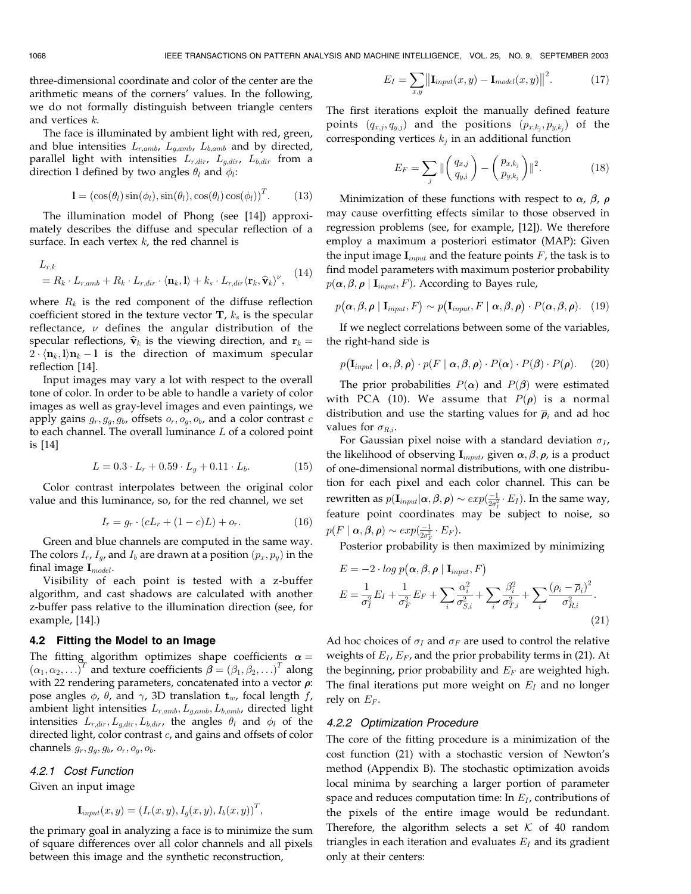three-dimensional coordinate and color of the center are the arithmetic means of the corners' values. In the following, we do not formally distinguish between triangle centers and vertices k.

The face is illuminated by ambient light with red, green, and blue intensities  $L_{r,amb}$ ,  $L_{g,amb}$ ,  $L_{b,amb}$  and by directed, parallel light with intensities  $L_{r,dir}$ ,  $L_{g,dir}$ ,  $L_{b,dir}$  from a direction 1 defined by two angles  $\theta_l$  and  $\phi_l$ :

$$
\mathbf{l} = (\cos(\theta_l)\sin(\phi_l), \sin(\theta_l), \cos(\theta_l)\cos(\phi_l))^T. \quad (13)
$$

The illumination model of Phong (see [14]) approximately describes the diffuse and specular reflection of a surface. In each vertex  $k$ , the red channel is

$$
L_{r,k}
$$
  
=  $R_k \cdot L_{r,amb} + R_k \cdot L_{r,dir} \cdot \langle \mathbf{n}_k, \mathbf{l} \rangle + k_s \cdot L_{r,dir} \langle \mathbf{r}_k, \widehat{\mathbf{v}}_k \rangle^{\nu},$  (14)

where  $R_k$  is the red component of the diffuse reflection coefficient stored in the texture vector  $\mathbf{T}$ ,  $k_s$  is the specular reflectance,  $\nu$  defines the angular distribution of the specular reflections,  $\hat{\mathbf{v}}_k$  is the viewing direction, and  $\mathbf{r}_k =$  $2 \cdot \langle n_k, l \rangle n_k - l$  is the direction of maximum specular reflection [14].

Input images may vary a lot with respect to the overall tone of color. In order to be able to handle a variety of color images as well as gray-level images and even paintings, we apply gains  $g_r, g_g, g_b$ , offsets  $o_r, o_g, o_b$ , and a color contrast c to each channel. The overall luminance  $L$  of a colored point is [14]

$$
L = 0.3 \cdot L_r + 0.59 \cdot L_g + 0.11 \cdot L_b. \tag{15}
$$

Color contrast interpolates between the original color value and this luminance, so, for the red channel, we set

$$
I_r = g_r \cdot (cL_r + (1 - c)L) + o_r. \tag{16}
$$

Green and blue channels are computed in the same way. The colors  $I_r$ ,  $I_g$ , and  $I_b$  are drawn at a position  $(p_x, p_y)$  in the final image  $\mathbf{I}_{model}$ .

Visibility of each point is tested with a z-buffer algorithm, and cast shadows are calculated with another z-buffer pass relative to the illumination direction (see, for example, [14].)

#### 4.2 Fitting the Model to an Image

The fitting algorithm optimizes shape coefficients  $\alpha =$  $(\alpha_1, \alpha_2, \ldots)^T$  and texture coefficients  $\boldsymbol{\beta} = (\beta_1, \beta_2, \ldots)^T$  along with 22 rendering parameters, concatenated into a vector  $\rho$ : pose angles  $\phi$ ,  $\theta$ , and  $\gamma$ , 3D translation  $t_w$ , focal length f, ambient light intensities  $L_{r,amb}$ ,  $L_{g,amb}$ ,  $L_{b,amb}$ , directed light intensities  $L_{r,dir}, L_{g,dir}, L_{b,dir}$ , the angles  $\theta_l$  and  $\phi_l$  of the directed light, color contrast c, and gains and offsets of color channels  $g_r, g_g, g_b, o_r, o_g, o_b$ .

# 4.2.1 Cost Function

Given an input image

$$
\mathbf{I}_{input}(x, y) = (I_r(x, y), I_g(x, y), I_b(x, y))^T,
$$

the primary goal in analyzing a face is to minimize the sum of square differences over all color channels and all pixels between this image and the synthetic reconstruction,

$$
E_I = \sum_{x,y} \left\| \mathbf{I}_{input}(x,y) - \mathbf{I}_{model}(x,y) \right\|^2.
$$
 (17)

The first iterations exploit the manually defined feature points  $(q_{x,j}, q_{y,j})$  and the positions  $(p_{x,k_i}, p_{y,k_i})$  of the corresponding vertices  $k_i$  in an additional function

$$
E_F = \sum_{j} \| \begin{pmatrix} q_{x,j} \\ q_{y,i} \end{pmatrix} - \begin{pmatrix} p_{x,k_j} \\ p_{y,k_j} \end{pmatrix} \|^2.
$$
 (18)

Minimization of these functions with respect to  $\alpha$ ,  $\beta$ ,  $\rho$ may cause overfitting effects similar to those observed in regression problems (see, for example, [12]). We therefore employ a maximum a posteriori estimator (MAP): Given the input image  $\mathbf{I}_{input}$  and the feature points  $F$ , the task is to find model parameters with maximum posterior probability  $p(\boldsymbol{\alpha}, \boldsymbol{\beta}, \boldsymbol{\rho} \mid \mathbf{I}_{input}, F)$ . According to Bayes rule,

$$
p(\alpha, \beta, \rho | \mathbf{I}_{input}, F) \sim p(\mathbf{I}_{input}, F | \alpha, \beta, \rho) \cdot P(\alpha, \beta, \rho).
$$
 (19)

If we neglect correlations between some of the variables, the right-hand side is

$$
p(\mathbf{I}_{input} | \alpha, \beta, \rho) \cdot p(F | \alpha, \beta, \rho) \cdot P(\alpha) \cdot P(\beta) \cdot P(\rho).
$$
 (20)

The prior probabilities  $P(\boldsymbol{\alpha})$  and  $P(\boldsymbol{\beta})$  were estimated with PCA (10). We assume that  $P(\rho)$  is a normal distribution and use the starting values for  $\overline{\rho}_i$  and ad hoc values for  $\sigma_{R,i}$ .

For Gaussian pixel noise with a standard deviation  $\sigma_I$ , the likelihood of observing  $\mathbf{I}_{input}$ , given  $\alpha, \beta, \rho$ , is a product of one-dimensional normal distributions, with one distribution for each pixel and each color channel. This can be rewritten as  $p(\mathbf{I}_{input} | \boldsymbol{\alpha}, \boldsymbol{\beta}, \boldsymbol{\rho}) \sim exp(\frac{-1}{2\sigma_I^2} \cdot E_I)$ . In the same way, feature point coordinates may be subject to noise, so  $p(F \mid \boldsymbol{\alpha}, \boldsymbol{\beta}, \boldsymbol{\rho}) \sim exp(\frac{-1}{2\sigma_F^2} \cdot E_F).$ 

Posterior probability is then maximized by minimizing

$$
E = -2 \cdot \log p(\boldsymbol{\alpha}, \boldsymbol{\beta}, \boldsymbol{\rho} \mid \mathbf{I}_{input}, F)
$$
  
\n
$$
E = \frac{1}{\sigma_I^2} E_I + \frac{1}{\sigma_F^2} E_F + \sum_i \frac{\alpha_i^2}{\sigma_{S,i}^2} + \sum_i \frac{\beta_i^2}{\sigma_{T,i}^2} + \sum_i \frac{(\rho_i - \overline{\rho}_i)^2}{\sigma_{R,i}^2}.
$$
\n(21)

Ad hoc choices of  $\sigma_I$  and  $\sigma_F$  are used to control the relative weights of  $E_I$ ,  $E_F$ , and the prior probability terms in (21). At the beginning, prior probability and  $E_F$  are weighted high. The final iterations put more weight on  $E_I$  and no longer rely on  $E_F$ .

#### 4.2.2 Optimization Procedure

The core of the fitting procedure is a minimization of the cost function (21) with a stochastic version of Newton's method (Appendix B). The stochastic optimization avoids local minima by searching a larger portion of parameter space and reduces computation time: In  $E_I$ , contributions of the pixels of the entire image would be redundant. Therefore, the algorithm selects a set  $K$  of 40 random triangles in each iteration and evaluates  $E_I$  and its gradient only at their centers: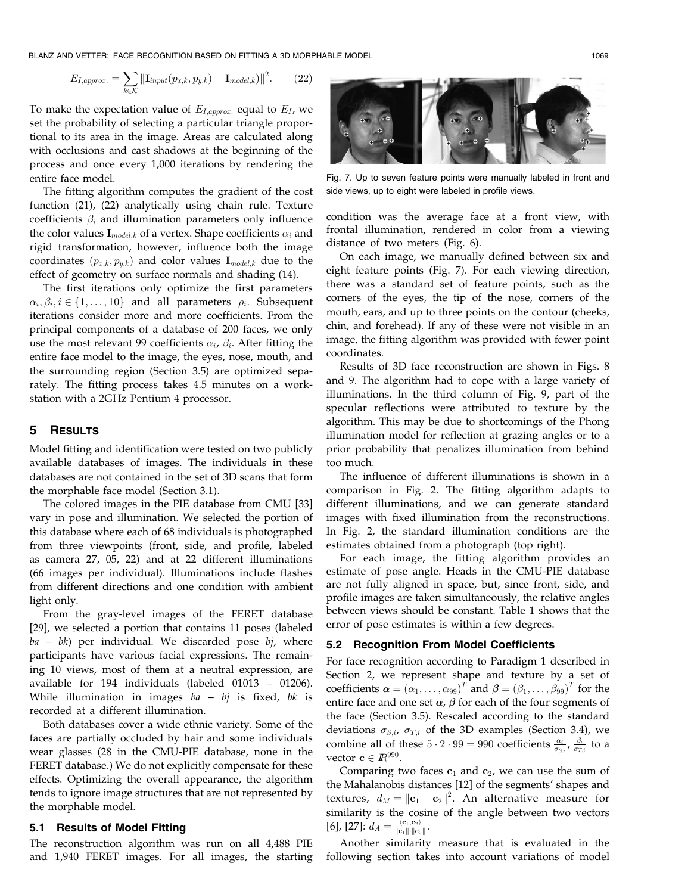BLANZ AND VETTER: FACE RECOGNITION BASED ON FITTING A 3D MORPHABLE MODEL 1009 1069

$$
E_{I,approx.} = \sum_{k \in \mathcal{K}} ||\mathbf{I}_{input}(p_{x,k}, p_{y,k}) - \mathbf{I}_{model,k})||^2.
$$
 (22)

To make the expectation value of  $E_{I,approx}$  equal to  $E_I$ , we set the probability of selecting a particular triangle proportional to its area in the image. Areas are calculated along with occlusions and cast shadows at the beginning of the process and once every 1,000 iterations by rendering the entire face model.

The fitting algorithm computes the gradient of the cost function (21), (22) analytically using chain rule. Texture coefficients  $\beta_i$  and illumination parameters only influence the color values  $\mathbf{I}_{model,k}$  of a vertex. Shape coefficients  $\alpha_i$  and rigid transformation, however, influence both the image coordinates  $(p_{x,k}, p_{y,k})$  and color values  $\mathbf{I}_{model,k}$  due to the effect of geometry on surface normals and shading (14).

The first iterations only optimize the first parameters  $\alpha_i, \beta_i, i \in \{1, \ldots, 10\}$  and all parameters  $\rho_i$ . Subsequent iterations consider more and more coefficients. From the principal components of a database of 200 faces, we only use the most relevant 99 coefficients  $\alpha_i$ ,  $\beta_i$ . After fitting the entire face model to the image, the eyes, nose, mouth, and the surrounding region (Section 3.5) are optimized separately. The fitting process takes 4.5 minutes on a workstation with a 2GHz Pentium 4 processor.

# 5 RESULTS

Model fitting and identification were tested on two publicly available databases of images. The individuals in these databases are not contained in the set of 3D scans that form the morphable face model (Section 3.1).

The colored images in the PIE database from CMU [33] vary in pose and illumination. We selected the portion of this database where each of 68 individuals is photographed from three viewpoints (front, side, and profile, labeled as camera 27, 05, 22) and at 22 different illuminations (66 images per individual). Illuminations include flashes from different directions and one condition with ambient light only.

From the gray-level images of the FERET database [29], we selected a portion that contains 11 poses (labeled  $ba - bk$ ) per individual. We discarded pose  $bj$ , where participants have various facial expressions. The remaining 10 views, most of them at a neutral expression, are available for 194 individuals (labeled 01013 – 01206). While illumination in images  $ba - bj$  is fixed, bk is recorded at a different illumination.

Both databases cover a wide ethnic variety. Some of the faces are partially occluded by hair and some individuals wear glasses (28 in the CMU-PIE database, none in the FERET database.) We do not explicitly compensate for these effects. Optimizing the overall appearance, the algorithm tends to ignore image structures that are not represented by the morphable model.

# 5.1 Results of Model Fitting

The reconstruction algorithm was run on all 4,488 PIE and 1,940 FERET images. For all images, the starting



Fig. 7. Up to seven feature points were manually labeled in front and side views, up to eight were labeled in profile views.

condition was the average face at a front view, with frontal illumination, rendered in color from a viewing distance of two meters (Fig. 6).

On each image, we manually defined between six and eight feature points (Fig. 7). For each viewing direction, there was a standard set of feature points, such as the corners of the eyes, the tip of the nose, corners of the mouth, ears, and up to three points on the contour (cheeks, chin, and forehead). If any of these were not visible in an image, the fitting algorithm was provided with fewer point coordinates.

Results of 3D face reconstruction are shown in Figs. 8 and 9. The algorithm had to cope with a large variety of illuminations. In the third column of Fig. 9, part of the specular reflections were attributed to texture by the algorithm. This may be due to shortcomings of the Phong illumination model for reflection at grazing angles or to a prior probability that penalizes illumination from behind too much.

The influence of different illuminations is shown in a comparison in Fig. 2. The fitting algorithm adapts to different illuminations, and we can generate standard images with fixed illumination from the reconstructions. In Fig. 2, the standard illumination conditions are the estimates obtained from a photograph (top right).

For each image, the fitting algorithm provides an estimate of pose angle. Heads in the CMU-PIE database are not fully aligned in space, but, since front, side, and profile images are taken simultaneously, the relative angles between views should be constant. Table 1 shows that the error of pose estimates is within a few degrees.

#### 5.2 Recognition From Model Coefficients

For face recognition according to Paradigm 1 described in Section 2, we represent shape and texture by a set of coefficients  $\boldsymbol{\alpha}=(\alpha_1,\ldots,\alpha_{99})^T$  and  $\boldsymbol{\beta}=(\beta_1,\ldots,\beta_{99})^T$  for the entire face and one set  $\alpha$ ,  $\beta$  for each of the four segments of the face (Section 3.5). Rescaled according to the standard deviations  $\sigma_{S,i}$ ,  $\sigma_{T,i}$  of the 3D examples (Section 3.4), we combine all of these  $5 \cdot 2 \cdot 99 = 990$  coefficients  $\frac{\alpha_i}{\sigma_{S,i}}$ ,  $\frac{\beta_i}{\sigma_{T,i}}$  to a vector  $\mathbf{c} \in \mathbb{R}^{990}$ .

Comparing two faces  $c_1$  and  $c_2$ , we can use the sum of the Mahalanobis distances [12] of the segments' shapes and textures,  $d_M = ||\mathbf{c}_1 - \mathbf{c}_2||^2$ . An alternative measure for similarity is the cosine of the angle between two vectors [6], [27]:  $d_A = \frac{\langle \mathbf{c}_1, \mathbf{c}_2 \rangle}{\|\mathbf{c}_1\| \cdot \|\mathbf{c}_2\|}$ .

Another similarity measure that is evaluated in the following section takes into account variations of model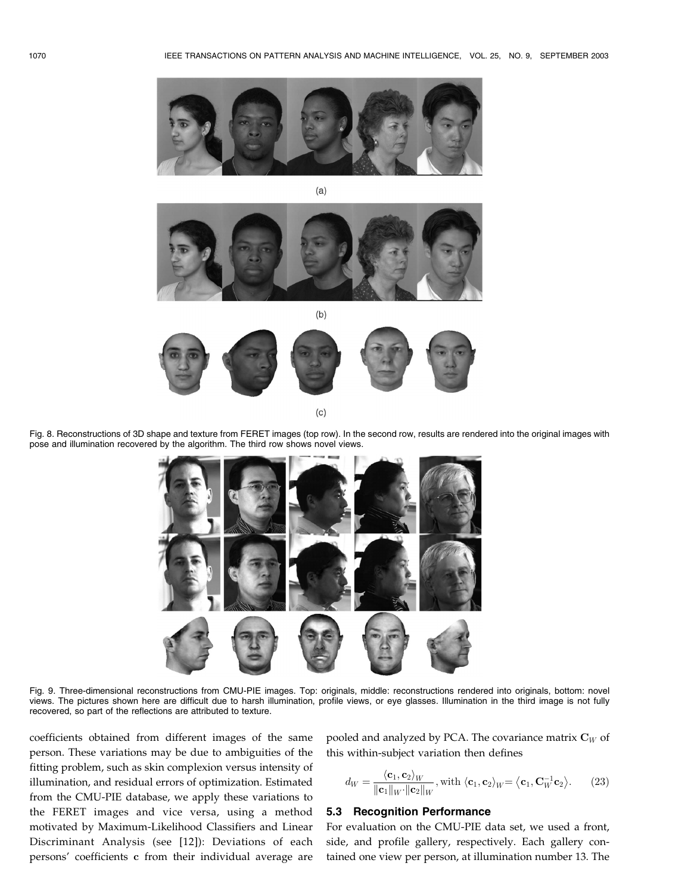

 $(a)$ 



 $(b)$ 



 $(c)$ 

Fig. 8. Reconstructions of 3D shape and texture from FERET images (top row). In the second row, results are rendered into the original images with pose and illumination recovered by the algorithm. The third row shows novel views.



Fig. 9. Three-dimensional reconstructions from CMU-PIE images. Top: originals, middle: reconstructions rendered into originals, bottom: novel views. The pictures shown here are difficult due to harsh illumination, profile views, or eye glasses. Illumination in the third image is not fully recovered, so part of the reflections are attributed to texture.

coefficients obtained from different images of the same person. These variations may be due to ambiguities of the fitting problem, such as skin complexion versus intensity of illumination, and residual errors of optimization. Estimated from the CMU-PIE database, we apply these variations to the FERET images and vice versa, using a method motivated by Maximum-Likelihood Classifiers and Linear Discriminant Analysis (see [12]): Deviations of each persons' coefficients c from their individual average are pooled and analyzed by PCA. The covariance matrix  $\mathbf{C}_W$  of this within-subject variation then defines

$$
d_W = \frac{\langle \mathbf{c}_1, \mathbf{c}_2 \rangle_W}{\|\mathbf{c}_1\|_W \cdot \|\mathbf{c}_2\|_W}, \text{with } \langle \mathbf{c}_1, \mathbf{c}_2 \rangle_W = \langle \mathbf{c}_1, \mathbf{C}_W^{-1} \mathbf{c}_2 \rangle. \tag{23}
$$

#### 5.3 Recognition Performance

For evaluation on the CMU-PIE data set, we used a front, side, and profile gallery, respectively. Each gallery contained one view per person, at illumination number 13. The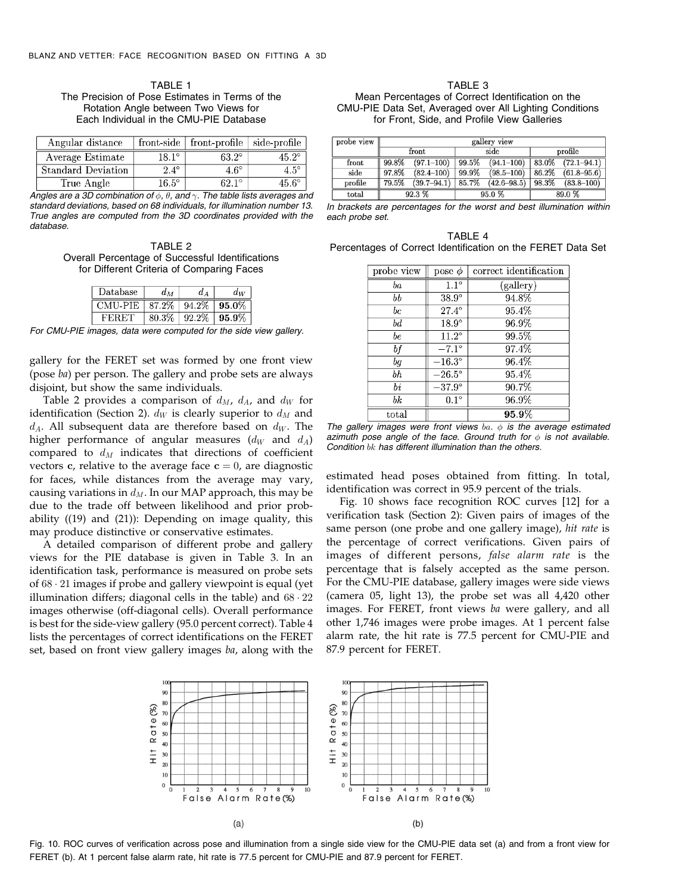TABLE 1 The Precision of Pose Estimates in Terms of the Rotation Angle between Two Views for Each Individual in the CMU-PIE Database

| Angular distance   |              | front-side   front-profile   side-profile |                |
|--------------------|--------------|-------------------------------------------|----------------|
| Average Estimate   | 18.1°        | $63.2^\circ$                              | $45.2^{\circ}$ |
| Standard Deviation | $2.4^\circ$  | $4.6^\circ$                               | $4.5^\circ$    |
| True Angle         | $16.5^\circ$ | 62.1°                                     | 45.6°          |

Angles are a 3D combination of  $\phi$ ,  $\theta$ , and  $\gamma$ . The table lists averages and standard deviations, based on 68 individuals, for illumination number 13. True angles are computed from the 3D coordinates provided with the database.

TABLE 2 Overall Percentage of Successful Identifications for Different Criteria of Comparing Faces

| Database             | $a_{\scriptscriptstyle{M}}$ |       | $a_W$            |
|----------------------|-----------------------------|-------|------------------|
| CMU-PIE $\mid$ 87.2% |                             |       | $94.2\%$   95.0% |
|                      | 80.3%                       | 92.2% | 95.9%            |

For CMU-PIE images, data were computed for the side view gallery.

gallery for the FERET set was formed by one front view (pose ba) per person. The gallery and probe sets are always disjoint, but show the same individuals.

Table 2 provides a comparison of  $d_M$ ,  $d_A$ , and  $d_W$  for identification (Section 2).  $d_W$  is clearly superior to  $d_M$  and  $d_A$ . All subsequent data are therefore based on  $d_W$ . The higher performance of angular measures  $(d_W$  and  $d_A)$ compared to  $d_M$  indicates that directions of coefficient vectors c, relative to the average face  $c = 0$ , are diagnostic for faces, while distances from the average may vary, causing variations in  $d_M$ . In our MAP approach, this may be due to the trade off between likelihood and prior probability ((19) and (21)): Depending on image quality, this may produce distinctive or conservative estimates.

A detailed comparison of different probe and gallery views for the PIE database is given in Table 3. In an identification task, performance is measured on probe sets of  $68 \cdot 21$  images if probe and gallery viewpoint is equal (yet illumination differs; diagonal cells in the table) and  $68 \cdot 22$ images otherwise (off-diagonal cells). Overall performance is best for the side-view gallery (95.0 percent correct). Table 4 lists the percentages of correct identifications on the FERET set, based on front view gallery images ba, along with the

# TABLE 3

Mean Percentages of Correct Identification on the CMU-PIE Data Set, Averaged over All Lighting Conditions for Front, Side, and Profile View Galleries

| probe view               | gallery view |                 |       |                 |         |                 |
|--------------------------|--------------|-----------------|-------|-----------------|---------|-----------------|
|                          | front        |                 | side  |                 | profile |                 |
| front                    | 99.8%        | $(97.1 - 100)$  | 99.5% | $(94.1 - 100)$  | 83.0%   | $(72.1 - 94.1)$ |
| side                     | 97.8%        | $(82.4 - 100)$  | 99.9% | $(98.5 - 100)$  | 86.2%   | $(61.8 - 95.6)$ |
| $\operatorname{profile}$ | 79.5%        | $(39.7 - 94.1)$ | 85.7% | $(42.6 - 98.5)$ | 98.3%   | $(83.8 - 100)$  |
| total                    | 92.3%        |                 | 95.0% |                 | 89.0%   |                 |

In brackets are percentages for the worst and best illumination within each probe set.

| TABLE 4                                                     |  |
|-------------------------------------------------------------|--|
| Percentages of Correct Identification on the FERET Data Set |  |

| probe view     | pose $\phi$     | correct identification |
|----------------|-----------------|------------------------|
| ba             | $1.1^\circ$     | (gallery)              |
| bb             | $38.9^\circ$    | 94.8%                  |
| bс             | $27.4^\circ$    | 95.4%                  |
| bd             | $18.9^\circ$    | 96.9%                  |
| be             | $11.2^\circ$    | 99.5%                  |
| bf             | $-7.1^\circ$    | 97.4%                  |
| ba             | $-16.3^\circ$   | $96.4\%$               |
| bh             | $-26.5^{\circ}$ | 95.4%                  |
| bi             | $-37.9^\circ$   | 90.7%                  |
| bk             | $0.1^\circ$     | 96.9%                  |
| $_{\rm total}$ |                 | 95.9%                  |

The gallery images were front views ba.  $\phi$  is the average estimated azimuth pose angle of the face. Ground truth for  $\phi$  is not available. Condition bk has different illumination than the others.

estimated head poses obtained from fitting. In total, identification was correct in 95.9 percent of the trials.

Fig. 10 shows face recognition ROC curves [12] for a verification task (Section 2): Given pairs of images of the same person (one probe and one gallery image), hit rate is the percentage of correct verifications. Given pairs of images of different persons, false alarm rate is the percentage that is falsely accepted as the same person. For the CMU-PIE database, gallery images were side views (camera 05, light 13), the probe set was all 4,420 other images. For FERET, front views ba were gallery, and all other 1,746 images were probe images. At 1 percent false alarm rate, the hit rate is 77.5 percent for CMU-PIE and 87.9 percent for FERET.



Fig. 10. ROC curves of verification across pose and illumination from a single side view for the CMU-PIE data set (a) and from a front view for FERET (b). At 1 percent false alarm rate, hit rate is 77.5 percent for CMU-PIE and 87.9 percent for FERET.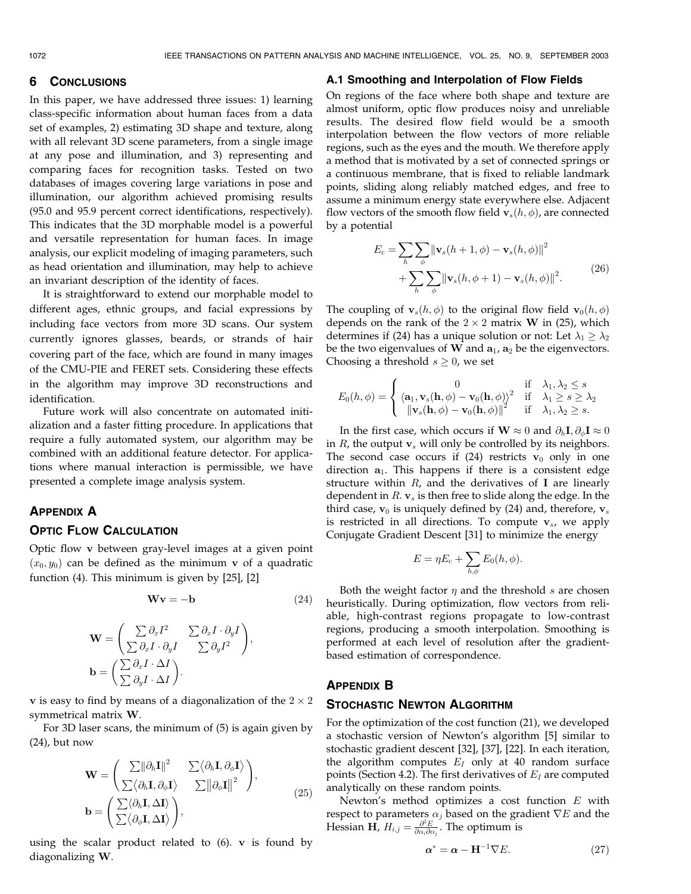# 6 CONCLUSIONS

In this paper, we have addressed three issues: 1) learning class-specific information about human faces from a data set of examples, 2) estimating 3D shape and texture, along with all relevant 3D scene parameters, from a single image at any pose and illumination, and 3) representing and comparing faces for recognition tasks. Tested on two databases of images covering large variations in pose and illumination, our algorithm achieved promising results (95.0 and 95.9 percent correct identifications, respectively). This indicates that the 3D morphable model is a powerful and versatile representation for human faces. In image analysis, our explicit modeling of imaging parameters, such as head orientation and illumination, may help to achieve an invariant description of the identity of faces.

It is straightforward to extend our morphable model to different ages, ethnic groups, and facial expressions by including face vectors from more 3D scans. Our system currently ignores glasses, beards, or strands of hair covering part of the face, which are found in many images of the CMU-PIE and FERET sets. Considering these effects in the algorithm may improve 3D reconstructions and identification.

Future work will also concentrate on automated initialization and a faster fitting procedure. In applications that require a fully automated system, our algorithm may be combined with an additional feature detector. For applications where manual interaction is permissible, we have presented a complete image analysis system.

# APPENDIX A

# OPTIC FLOW CALCULATION

Optic flow v between gray-level images at a given point  $(x_0, y_0)$  can be defined as the minimum v of a quadratic function (4). This minimum is given by [25], [2]

$$
\mathbf{W}\mathbf{v} = -\mathbf{b} \tag{24}
$$

$$
\mathbf{W} = \begin{pmatrix} \sum \partial_x I^2 & \sum \partial_x I \cdot \partial_y I \\ \sum \partial_x I \cdot \partial_y I & \sum \partial_y I^2 \end{pmatrix},
$$

$$
\mathbf{b} = \begin{pmatrix} \sum \partial_x I \cdot \Delta I \\ \sum \partial_y I \cdot \Delta I \end{pmatrix}.
$$

**v** is easy to find by means of a diagonalization of the  $2 \times 2$ symmetrical matrix W.

For 3D laser scans, the minimum of (5) is again given by (24), but now

$$
\mathbf{W} = \begin{pmatrix} \sum ||\partial_h \mathbf{I}||^2 & \sum \langle \partial_h \mathbf{I}, \partial_{\phi} \mathbf{I} \rangle \\ \sum \langle \partial_h \mathbf{I}, \partial_{\phi} \mathbf{I} \rangle & \sum ||\partial_{\phi} \mathbf{I}||^2 \end{pmatrix},
$$

$$
\mathbf{b} = \begin{pmatrix} \sum \langle \partial_h \mathbf{I}, \Delta \mathbf{I} \rangle \\ \sum \langle \partial_{\phi} \mathbf{I}, \Delta \mathbf{I} \rangle \end{pmatrix},
$$
(25)

using the scalar product related to  $(6)$ . v is found by diagonalizing W.

# A.1 Smoothing and Interpolation of Flow Fields

On regions of the face where both shape and texture are almost uniform, optic flow produces noisy and unreliable results. The desired flow field would be a smooth interpolation between the flow vectors of more reliable regions, such as the eyes and the mouth. We therefore apply a method that is motivated by a set of connected springs or a continuous membrane, that is fixed to reliable landmark points, sliding along reliably matched edges, and free to assume a minimum energy state everywhere else. Adjacent flow vectors of the smooth flow field  $\mathbf{v}_s(h, \phi)$ , are connected by a potential

$$
E_c = \sum_{h} \sum_{\phi} \|\mathbf{v}_s(h+1,\phi) - \mathbf{v}_s(h,\phi)\|^2
$$
  
+ 
$$
\sum_{h} \sum_{\phi} \|\mathbf{v}_s(h,\phi+1) - \mathbf{v}_s(h,\phi)\|^2.
$$
 (26)

The coupling of  $\mathbf{v}_s(h, \phi)$  to the original flow field  $\mathbf{v}_0(h, \phi)$ depends on the rank of the  $2 \times 2$  matrix W in (25), which determines if (24) has a unique solution or not: Let  $\lambda_1 \geq \lambda_2$ be the two eigenvalues of W and  $a_1$ ,  $a_2$  be the eigenvectors. Choosing a threshold  $s \geq 0$ , we set

$$
E_0(h,\phi) = \begin{cases} 0 & \text{if } \lambda_1, \lambda_2 \le s \\ \langle \mathbf{a}_1, \mathbf{v}_s(\mathbf{h}, \phi) - \mathbf{v}_0(\mathbf{h}, \phi) \rangle^2 & \text{if } \lambda_1 \ge s \ge \lambda_2 \\ \|\mathbf{v}_s(\mathbf{h}, \phi) - \mathbf{v}_0(\mathbf{h}, \phi)\|^2 & \text{if } \lambda_1, \lambda_2 \ge s. \end{cases}
$$

In the first case, which occurs if  $\mathbf{W}\approx 0$  and  $\partial_h \mathbf{I}, \partial_\phi \mathbf{I} \approx 0$ in  $R$ , the output  $v_s$  will only be controlled by its neighbors. The second case occurs if (24) restricts  $v_0$  only in one direction  $a_1$ . This happens if there is a consistent edge structure within  $R$ , and the derivatives of I are linearly dependent in  $R$ .  $v_s$  is then free to slide along the edge. In the third case,  $\mathbf{v}_0$  is uniquely defined by (24) and, therefore,  $\mathbf{v}_s$ is restricted in all directions. To compute  $v_s$ , we apply Conjugate Gradient Descent [31] to minimize the energy

$$
E = \eta E_c + \sum_{h,\phi} E_0(h,\phi).
$$

Both the weight factor  $\eta$  and the threshold s are chosen heuristically. During optimization, flow vectors from reliable, high-contrast regions propagate to low-contrast regions, producing a smooth interpolation. Smoothing is performed at each level of resolution after the gradientbased estimation of correspondence.

# APPENDIX B

# STOCHASTIC NEWTON ALGORITHM

For the optimization of the cost function (21), we developed a stochastic version of Newton's algorithm [5] similar to stochastic gradient descent [32], [37], [22]. In each iteration, the algorithm computes  $E_I$  only at 40 random surface points (Section 4.2). The first derivatives of  $E_I$  are computed analytically on these random points.

Newton's method optimizes a cost function E with respect to parameters  $\alpha_i$  based on the gradient  $\nabla E$  and the Hessian  $\overline{H}$ ,  $H_{i,j} = \frac{\partial^2 E}{\partial \alpha_i \partial \alpha_j}$ . The optimum is

$$
\alpha^* = \alpha - \mathbf{H}^{-1} \nabla E. \tag{27}
$$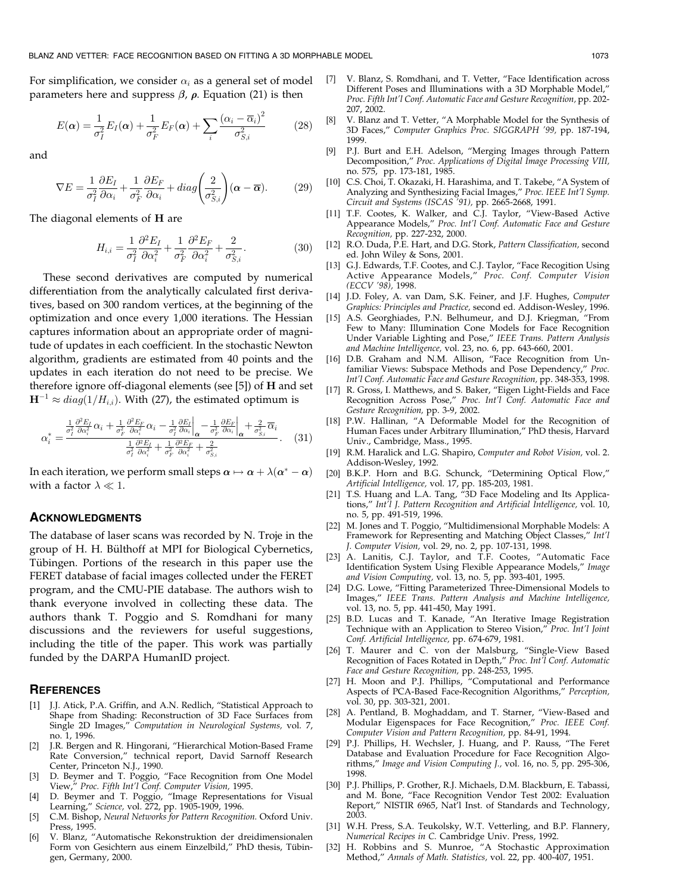For simplification, we consider  $\alpha_i$  as a general set of model parameters here and suppress  $\beta$ ,  $\rho$ . Equation (21) is then

$$
E(\alpha) = \frac{1}{\sigma_I^2} E_I(\alpha) + \frac{1}{\sigma_F^2} E_F(\alpha) + \sum_i \frac{(\alpha_i - \overline{\alpha}_i)^2}{\sigma_{S,i}^2}
$$
(28)

and

$$
\nabla E = \frac{1}{\sigma_I^2} \frac{\partial E_I}{\partial \alpha_i} + \frac{1}{\sigma_F^2} \frac{\partial E_F}{\partial \alpha_i} + diag \left( \frac{2}{\sigma_{S,i}^2} \right) (\alpha - \overline{\alpha}).
$$
 (29)

The diagonal elements of H are

$$
H_{i,i} = \frac{1}{\sigma_I^2} \frac{\partial^2 E_I}{\partial \alpha_i^2} + \frac{1}{\sigma_F^2} \frac{\partial^2 E_F}{\partial \alpha_i^2} + \frac{2}{\sigma_{S,i}^2}.
$$
 (30)

These second derivatives are computed by numerical differentiation from the analytically calculated first derivatives, based on 300 random vertices, at the beginning of the optimization and once every 1,000 iterations. The Hessian captures information about an appropriate order of magnitude of updates in each coefficient. In the stochastic Newton algorithm, gradients are estimated from 40 points and the updates in each iteration do not need to be precise. We therefore ignore off-diagonal elements (see [5]) of H and set  ${\bf H}^{-1} \approx diag(1/H_{i,i})$ . With (27), the estimated optimum is

$$
\alpha_i^* = \frac{\frac{1}{\sigma_i^2} \frac{\partial^2 E_I}{\partial \alpha_i^2} \alpha_i + \frac{1}{\sigma_F^2} \frac{\partial^2 E_F}{\partial \alpha_i^2} \alpha_i - \frac{1}{\sigma_i^2} \frac{\partial E_I}{\partial \alpha_i} \bigg|_{\alpha} - \frac{1}{\sigma_F^2} \frac{\partial E_F}{\partial \alpha_i} \bigg|_{\alpha} + \frac{2}{\sigma_{S,i}^2} \overline{\alpha}_i}{\frac{1}{\sigma_i^2} \frac{\partial^2 E_I}{\partial \alpha_i^2} + \frac{1}{\sigma_F^2} \frac{\partial^2 E_F}{\partial \alpha_i^2} + \frac{2}{\sigma_{S,i}^2}}.
$$
 (31)

In each iteration, we perform small steps  $\alpha \mapsto \alpha + \lambda(\alpha^* - \alpha)$ with a factor  $\lambda \ll 1$ .

#### **ACKNOWLEDGMENTS**

The database of laser scans was recorded by N. Troje in the group of H. H. Bülthoff at MPI for Biological Cybernetics, Tübingen. Portions of the research in this paper use the FERET database of facial images collected under the FERET program, and the CMU-PIE database. The authors wish to thank everyone involved in collecting these data. The authors thank T. Poggio and S. Romdhani for many discussions and the reviewers for useful suggestions, including the title of the paper. This work was partially funded by the DARPA HumanID project.

#### **REFERENCES**

- [1] J.J. Atick, P.A. Griffin, and A.N. Redlich, "Statistical Approach to Shape from Shading: Reconstruction of 3D Face Surfaces from Single 2D Images," Computation in Neurological Systems, vol. 7, no. 1, 1996.
- [2] J.R. Bergen and R. Hingorani, "Hierarchical Motion-Based Frame Rate Conversion," technical report, David Sarnoff Research Center, Princeton N.J., 1990.
- [3] D. Beymer and T. Poggio, "Face Recognition from One Model View," Proc. Fifth Int'l Conf. Computer Vision, 1995.
- [4] D. Beymer and T. Poggio, "Image Representations for Visual Learning," Science, vol. 272, pp. 1905-1909, 1996.
- [5] C.M. Bishop, Neural Networks for Pattern Recognition. Oxford Univ. Press, 1995.
- [6] V. Blanz, "Automatische Rekonstruktion der dreidimensionalen Form von Gesichtern aus einem Einzelbild," PhD thesis, Tübingen, Germany, 2000.
- [7] V. Blanz, S. Romdhani, and T. Vetter, "Face Identification across Different Poses and Illuminations with a 3D Morphable Model," Proc. Fifth Int'l Conf. Automatic Face and Gesture Recognition, pp. 202- 207, 2002.
- [8] V. Blanz and T. Vetter, "A Morphable Model for the Synthesis of 3D Faces," Computer Graphics Proc. SIGGRAPH '99, pp. 187-194, 1999.
- P.J. Burt and E.H. Adelson, "Merging Images through Pattern Decomposition," Proc. Applications of Digital Image Processing VIII, no. 575, pp. 173-181, 1985.
- [10] C.S. Choi, T. Okazaki, H. Harashima, and T. Takebe, "A System of Analyzing and Synthesizing Facial Images," Proc. IEEE Int'l Symp. Circuit and Systems (ISCAS '91), pp. 2665-2668, 1991.
- [11] T.F. Cootes, K. Walker, and C.J. Taylor, "View-Based Active Appearance Models," Proc. Int'l Conf. Automatic Face and Gesture Recognition, pp. 227-232, 2000.
- [12] R.O. Duda, P.E. Hart, and D.G. Stork, Pattern Classification, second ed. John Wiley & Sons, 2001.
- [13] G.J. Edwards, T.F. Cootes, and C.J. Taylor, "Face Recogition Using Active Appearance Models," Proc. Conf. Computer Vision (ECCV '98), 1998.
- [14] J.D. Foley, A. van Dam, S.K. Feiner, and J.F. Hughes, Computer Graphics: Principles and Practice, second ed. Addison-Wesley, 1996.
- [15] A.S. Georghiades, P.N. Belhumeur, and D.J. Kriegman, "From Few to Many: Illumination Cone Models for Face Recognition Under Variable Lighting and Pose," IEEE Trans. Pattern Analysis and Machine Intelligence, vol. 23, no. 6, pp. 643-660, 2001.
- [16] D.B. Graham and N.M. Allison, "Face Recognition from Unfamiliar Views: Subspace Methods and Pose Dependency," Proc. Int'l Conf. Automatic Face and Gesture Recognition, pp. 348-353, 1998.
- R. Gross, I. Matthews, and S. Baker, "Eigen Light-Fields and Face Recognition Across Pose," Proc. Int'l Conf. Automatic Face and Gesture Recognition, pp. 3-9, 2002.
- [18] P.W. Hallinan, "A Deformable Model for the Recognition of Human Faces under Arbitrary Illumination," PhD thesis, Harvard Univ., Cambridge, Mass., 1995.
- [19] R.M. Haralick and L.G. Shapiro, Computer and Robot Vision, vol. 2. Addison-Wesley, 1992.
- [20] B.K.P. Horn and B.G. Schunck, "Determining Optical Flow," Artificial Intelligence, vol. 17, pp. 185-203, 1981.
- [21] T.S. Huang and L.A. Tang, "3D Face Modeling and Its Applications," Int'l J. Pattern Recognition and Artificial Intelligence, vol. 10, no. 5, pp. 491-519, 1996.
- [22] M. Jones and T. Poggio, "Multidimensional Morphable Models: A Framework for Representing and Matching Object Classes," Int'l J. Computer Vision, vol. 29, no. 2, pp. 107-131, 1998.
- [23] A. Lanitis, C.J. Taylor, and T.F. Cootes, "Automatic Face Identification System Using Flexible Appearance Models," Image and Vision Computing, vol. 13, no. 5, pp. 393-401, 1995.
- [24] D.G. Lowe, "Fitting Parameterized Three-Dimensional Models to Images," IEEE Trans. Pattern Analysis and Machine Intelligence, vol. 13, no. 5, pp. 441-450, May 1991.
- [25] B.D. Lucas and T. Kanade, "An Iterative Image Registration Technique with an Application to Stereo Vision," Proc. Int'l Joint Conf. Artificial Intelligence, pp. 674-679, 1981.
- [26] T. Maurer and C. von der Malsburg, "Single-View Based Recognition of Faces Rotated in Depth," Proc. Int<sup>7</sup>l Conf. Automatic Face and Gesture Recognition, pp. 248-253, 1995.
- [27] H. Moon and P.J. Phillips, "Computational and Performance Aspects of PCA-Based Face-Recognition Algorithms," Perception, vol. 30, pp. 303-321, 2001.
- [28] A. Pentland, B. Moghaddam, and T. Starner, "View-Based and Modular Eigenspaces for Face Recognition," Proc. IEEE Conf. Computer Vision and Pattern Recognition, pp. 84-91, 1994.
- P.J. Phillips, H. Wechsler, J. Huang, and P. Rauss, "The Feret Database and Evaluation Procedure for Face Recognition Algorithms," Image and Vision Computing J., vol. 16, no. 5, pp. 295-306, 1998.
- [30] P.J. Phillips, P. Grother, R.J. Michaels, D.M. Blackburn, E. Tabassi, and M. Bone, "Face Recognition Vendor Test 2002: Evaluation Report," NISTIR 6965, Nat'l Inst. of Standards and Technology, 2003.
- [31] W.H. Press, S.A. Teukolsky, W.T. Vetterling, and B.P. Flannery, Numerical Recipes in C. Cambridge Univ. Press, 1992.
- [32] H. Robbins and S. Munroe, "A Stochastic Approximation Method," Annals of Math. Statistics, vol. 22, pp. 400-407, 1951.